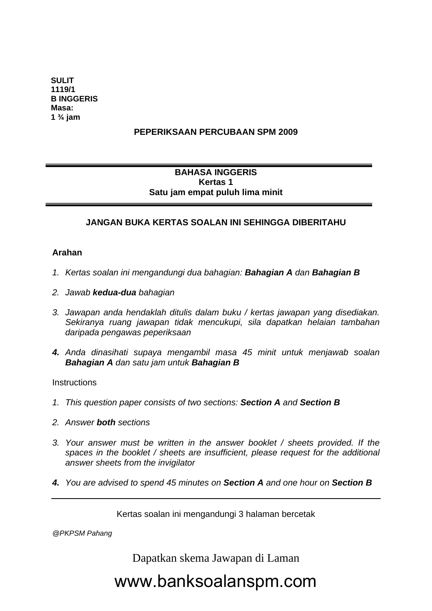**SULIT 1119/1 B INGGERIS Masa: 1 ¾ jam** 

### **PEPERIKSAAN PERCUBAAN SPM 2009**

### **BAHASA INGGERIS Kertas 1 Satu jam empat puluh lima minit**

### **JANGAN BUKA KERTAS SOALAN INI SEHINGGA DIBERITAHU**

#### **Arahan**

 $\overline{a}$ 

- *1. Kertas soalan ini mengandungi dua bahagian: Bahagian A dan Bahagian B*
- *2. Jawab kedua-dua bahagian*
- *3. Jawapan anda hendaklah ditulis dalam buku / kertas jawapan yang disediakan. Sekiranya ruang jawapan tidak mencukupi, sila dapatkan helaian tambahan daripada pengawas peperiksaan*
- *4. Anda dinasihati supaya mengambil masa 45 minit untuk menjawab soalan Bahagian A dan satu jam untuk Bahagian B*

**Instructions** 

- *1. This question paper consists of two sections: Section A and Section B*
- *2. Answer both sections*
- *3. Your answer must be written in the answer booklet / sheets provided. If the spaces in the booklet / sheets are insufficient, please request for the additional answer sheets from the invigilator*
- *4. You are advised to spend 45 minutes on Section A and one hour on Section B*

Kertas soalan ini mengandungi 3 halaman bercetak

*@PKPSM Pahang* 

Dapatkan skema Jawapan di Laman

# www.banksoalanspm.com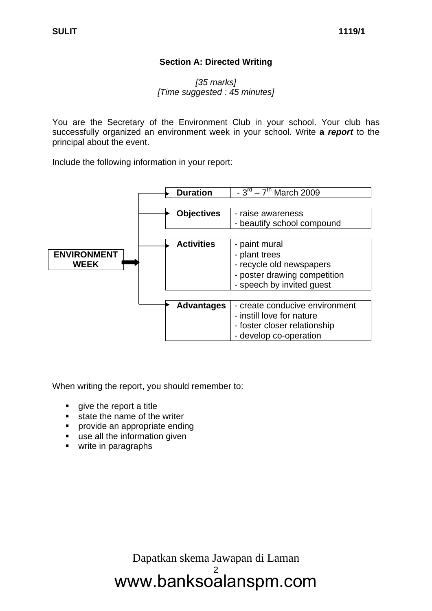### **Section A: Directed Writing**

### *[35 marks] [Time suggested : 45 minutes]*

You are the Secretary of the Environment Club in your school. Your club has successfully organized an environment week in your school. Write **a** *report* to the principal about the event.

Include the following information in your report:



When writing the report, you should remember to:

- **qive the report a title**
- **state the name of the writer**
- **•** provide an appropriate ending
- **use all the information given**
- write in paragraphs

www.banksoalanspm.com Dapatkan skema Jawapan di Laman 2